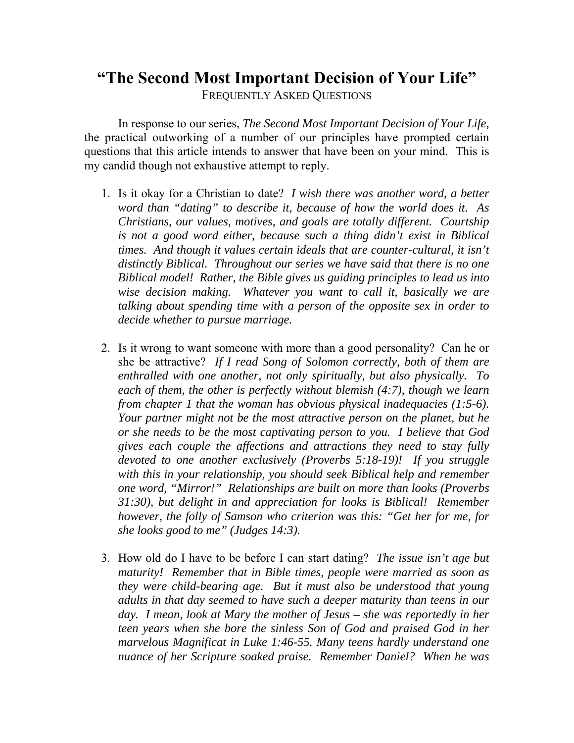## **"The Second Most Important Decision of Your Life"**  FREQUENTLY ASKED QUESTIONS

In response to our series, *The Second Most Important Decision of Your Life,*  the practical outworking of a number of our principles have prompted certain questions that this article intends to answer that have been on your mind. This is my candid though not exhaustive attempt to reply.

- 1. Is it okay for a Christian to date? *I wish there was another word, a better word than "dating" to describe it, because of how the world does it. As Christians, our values, motives, and goals are totally different. Courtship is not a good word either, because such a thing didn't exist in Biblical times. And though it values certain ideals that are counter-cultural, it isn't distinctly Biblical. Throughout our series we have said that there is no one Biblical model! Rather, the Bible gives us guiding principles to lead us into wise decision making. Whatever you want to call it, basically we are talking about spending time with a person of the opposite sex in order to decide whether to pursue marriage.*
- 2. Is it wrong to want someone with more than a good personality? Can he or she be attractive? *If I read Song of Solomon correctly, both of them are enthralled with one another, not only spiritually, but also physically. To each of them, the other is perfectly without blemish (4:7), though we learn from chapter 1 that the woman has obvious physical inadequacies (1:5-6). Your partner might not be the most attractive person on the planet, but he or she needs to be the most captivating person to you. I believe that God gives each couple the affections and attractions they need to stay fully devoted to one another exclusively (Proverbs 5:18-19)! If you struggle with this in your relationship, you should seek Biblical help and remember one word, "Mirror!" Relationships are built on more than looks (Proverbs 31:30), but delight in and appreciation for looks is Biblical! Remember however, the folly of Samson who criterion was this: "Get her for me, for she looks good to me" (Judges 14:3).*
- 3. How old do I have to be before I can start dating? *The issue isn't age but maturity! Remember that in Bible times, people were married as soon as they were child-bearing age. But it must also be understood that young adults in that day seemed to have such a deeper maturity than teens in our day. I mean, look at Mary the mother of Jesus – she was reportedly in her teen years when she bore the sinless Son of God and praised God in her marvelous Magnificat in Luke 1:46-55. Many teens hardly understand one nuance of her Scripture soaked praise. Remember Daniel? When he was*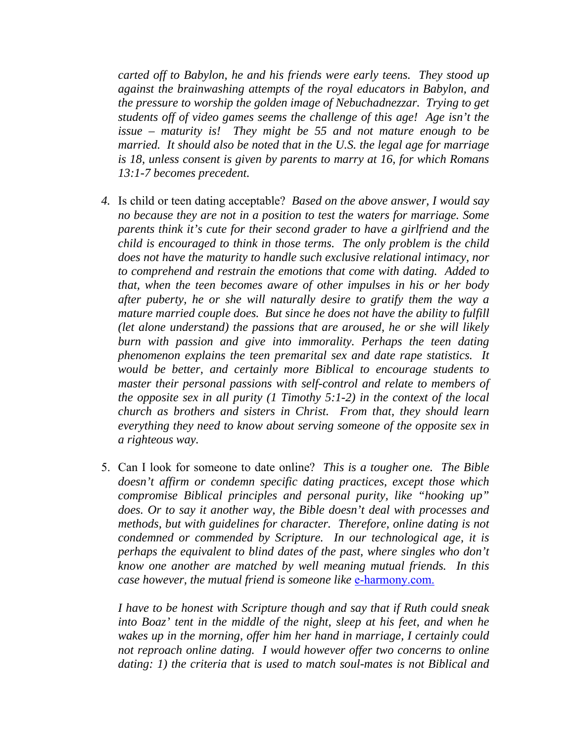*carted off to Babylon, he and his friends were early teens. They stood up against the brainwashing attempts of the royal educators in Babylon, and the pressure to worship the golden image of Nebuchadnezzar. Trying to get students off of video games seems the challenge of this age! Age isn't the issue – maturity is! They might be 55 and not mature enough to be married. It should also be noted that in the U.S. the legal age for marriage is 18, unless consent is given by parents to marry at 16, for which Romans 13:1-7 becomes precedent.* 

- *4.* Is child or teen dating acceptable? *Based on the above answer, I would say no because they are not in a position to test the waters for marriage. Some parents think it's cute for their second grader to have a girlfriend and the child is encouraged to think in those terms. The only problem is the child does not have the maturity to handle such exclusive relational intimacy, nor to comprehend and restrain the emotions that come with dating. Added to that, when the teen becomes aware of other impulses in his or her body after puberty, he or she will naturally desire to gratify them the way a mature married couple does. But since he does not have the ability to fulfill (let alone understand) the passions that are aroused, he or she will likely burn with passion and give into immorality. Perhaps the teen dating phenomenon explains the teen premarital sex and date rape statistics. It would be better, and certainly more Biblical to encourage students to master their personal passions with self-control and relate to members of the opposite sex in all purity (1 Timothy 5:1-2) in the context of the local church as brothers and sisters in Christ. From that, they should learn everything they need to know about serving someone of the opposite sex in a righteous way.*
- 5. Can I look for someone to date online? *This is a tougher one. The Bible doesn't affirm or condemn specific dating practices, except those which compromise Biblical principles and personal purity, like "hooking up" does. Or to say it another way, the Bible doesn't deal with processes and methods, but with guidelines for character. Therefore, online dating is not condemned or commended by Scripture. In our technological age, it is perhaps the equivalent to blind dates of the past, where singles who don't know one another are matched by well meaning mutual friends. In this case however, the mutual friend is someone like e-harmony.com.*

*I have to be honest with Scripture though and say that if Ruth could sneak into Boaz' tent in the middle of the night, sleep at his feet, and when he wakes up in the morning, offer him her hand in marriage, I certainly could not reproach online dating. I would however offer two concerns to online dating: 1) the criteria that is used to match soul-mates is not Biblical and*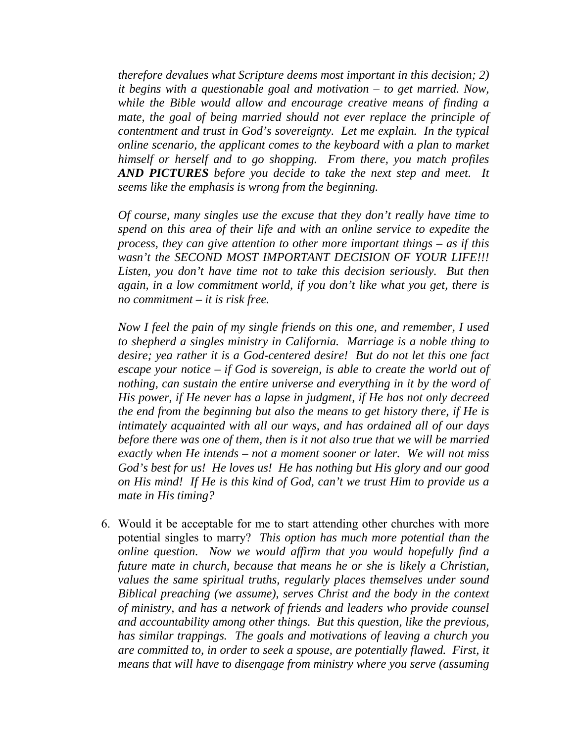*therefore devalues what Scripture deems most important in this decision; 2) it begins with a questionable goal and motivation – to get married. Now, while the Bible would allow and encourage creative means of finding a mate, the goal of being married should not ever replace the principle of contentment and trust in God's sovereignty. Let me explain. In the typical online scenario, the applicant comes to the keyboard with a plan to market himself or herself and to go shopping. From there, you match profiles AND PICTURES before you decide to take the next step and meet. It seems like the emphasis is wrong from the beginning.* 

*Of course, many singles use the excuse that they don't really have time to spend on this area of their life and with an online service to expedite the process, they can give attention to other more important things – as if this wasn't the SECOND MOST IMPORTANT DECISION OF YOUR LIFE!!! Listen, you don't have time not to take this decision seriously. But then again, in a low commitment world, if you don't like what you get, there is no commitment – it is risk free.* 

*Now I feel the pain of my single friends on this one, and remember, I used to shepherd a singles ministry in California. Marriage is a noble thing to desire; yea rather it is a God-centered desire! But do not let this one fact escape your notice – if God is sovereign, is able to create the world out of nothing, can sustain the entire universe and everything in it by the word of His power, if He never has a lapse in judgment, if He has not only decreed the end from the beginning but also the means to get history there, if He is intimately acquainted with all our ways, and has ordained all of our days before there was one of them, then is it not also true that we will be married exactly when He intends – not a moment sooner or later. We will not miss God's best for us! He loves us! He has nothing but His glory and our good on His mind! If He is this kind of God, can't we trust Him to provide us a mate in His timing?* 

6. Would it be acceptable for me to start attending other churches with more potential singles to marry? *This option has much more potential than the online question. Now we would affirm that you would hopefully find a future mate in church, because that means he or she is likely a Christian, values the same spiritual truths, regularly places themselves under sound Biblical preaching (we assume), serves Christ and the body in the context of ministry, and has a network of friends and leaders who provide counsel and accountability among other things. But this question, like the previous, has similar trappings. The goals and motivations of leaving a church you are committed to, in order to seek a spouse, are potentially flawed. First, it means that will have to disengage from ministry where you serve (assuming*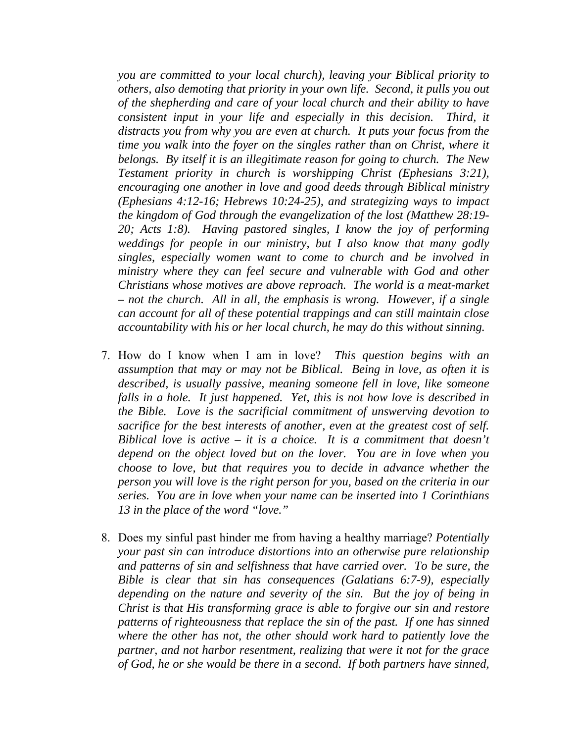*you are committed to your local church), leaving your Biblical priority to others, also demoting that priority in your own life. Second, it pulls you out of the shepherding and care of your local church and their ability to have consistent input in your life and especially in this decision. Third, it distracts you from why you are even at church. It puts your focus from the time you walk into the foyer on the singles rather than on Christ, where it belongs. By itself it is an illegitimate reason for going to church. The New Testament priority in church is worshipping Christ (Ephesians 3:21), encouraging one another in love and good deeds through Biblical ministry (Ephesians 4:12-16; Hebrews 10:24-25), and strategizing ways to impact the kingdom of God through the evangelization of the lost (Matthew 28:19- 20; Acts 1:8). Having pastored singles, I know the joy of performing weddings for people in our ministry, but I also know that many godly singles, especially women want to come to church and be involved in ministry where they can feel secure and vulnerable with God and other Christians whose motives are above reproach. The world is a meat-market – not the church. All in all, the emphasis is wrong. However, if a single can account for all of these potential trappings and can still maintain close accountability with his or her local church, he may do this without sinning.* 

- 7. How do I know when I am in love? *This question begins with an assumption that may or may not be Biblical. Being in love, as often it is described, is usually passive, meaning someone fell in love, like someone falls in a hole. It just happened. Yet, this is not how love is described in the Bible. Love is the sacrificial commitment of unswerving devotion to sacrifice for the best interests of another, even at the greatest cost of self. Biblical love is active – it is a choice. It is a commitment that doesn't depend on the object loved but on the lover. You are in love when you choose to love, but that requires you to decide in advance whether the person you will love is the right person for you, based on the criteria in our series. You are in love when your name can be inserted into 1 Corinthians 13 in the place of the word "love."*
- 8. Does my sinful past hinder me from having a healthy marriage? *Potentially your past sin can introduce distortions into an otherwise pure relationship and patterns of sin and selfishness that have carried over. To be sure, the Bible is clear that sin has consequences (Galatians 6:7-9), especially depending on the nature and severity of the sin. But the joy of being in Christ is that His transforming grace is able to forgive our sin and restore patterns of righteousness that replace the sin of the past. If one has sinned where the other has not, the other should work hard to patiently love the partner, and not harbor resentment, realizing that were it not for the grace of God, he or she would be there in a second. If both partners have sinned,*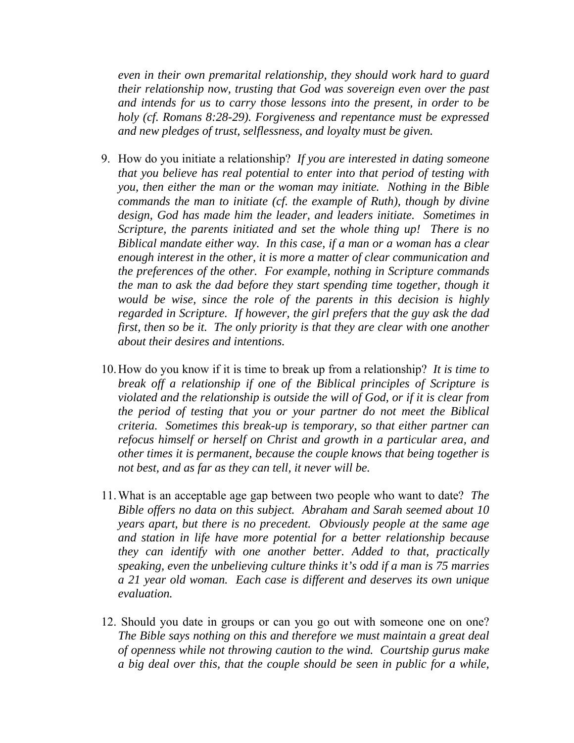*even in their own premarital relationship, they should work hard to guard their relationship now, trusting that God was sovereign even over the past and intends for us to carry those lessons into the present, in order to be holy (cf. Romans 8:28-29). Forgiveness and repentance must be expressed and new pledges of trust, selflessness, and loyalty must be given.* 

- 9. How do you initiate a relationship? *If you are interested in dating someone that you believe has real potential to enter into that period of testing with you, then either the man or the woman may initiate. Nothing in the Bible commands the man to initiate (cf. the example of Ruth), though by divine design, God has made him the leader, and leaders initiate. Sometimes in Scripture, the parents initiated and set the whole thing up! There is no Biblical mandate either way. In this case, if a man or a woman has a clear enough interest in the other, it is more a matter of clear communication and the preferences of the other. For example, nothing in Scripture commands the man to ask the dad before they start spending time together, though it would be wise, since the role of the parents in this decision is highly regarded in Scripture. If however, the girl prefers that the guy ask the dad first, then so be it. The only priority is that they are clear with one another about their desires and intentions.*
- 10.How do you know if it is time to break up from a relationship? *It is time to break off a relationship if one of the Biblical principles of Scripture is violated and the relationship is outside the will of God, or if it is clear from the period of testing that you or your partner do not meet the Biblical criteria. Sometimes this break-up is temporary, so that either partner can refocus himself or herself on Christ and growth in a particular area, and other times it is permanent, because the couple knows that being together is not best, and as far as they can tell, it never will be.*
- 11.What is an acceptable age gap between two people who want to date? *The Bible offers no data on this subject. Abraham and Sarah seemed about 10 years apart, but there is no precedent. Obviously people at the same age and station in life have more potential for a better relationship because they can identify with one another better. Added to that, practically speaking, even the unbelieving culture thinks it's odd if a man is 75 marries a 21 year old woman. Each case is different and deserves its own unique evaluation.*
- 12. Should you date in groups or can you go out with someone one on one? *The Bible says nothing on this and therefore we must maintain a great deal of openness while not throwing caution to the wind. Courtship gurus make a big deal over this, that the couple should be seen in public for a while,*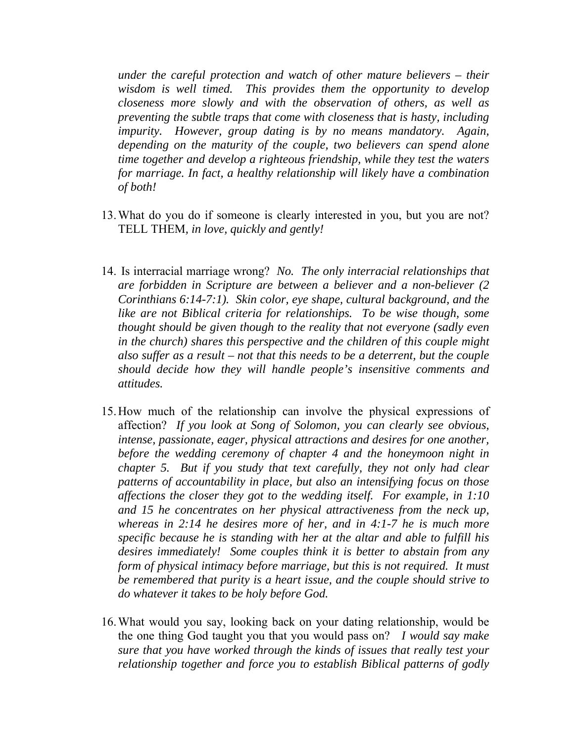*under the careful protection and watch of other mature believers – their wisdom is well timed. This provides them the opportunity to develop closeness more slowly and with the observation of others, as well as preventing the subtle traps that come with closeness that is hasty, including impurity. However, group dating is by no means mandatory. Again, depending on the maturity of the couple, two believers can spend alone time together and develop a righteous friendship, while they test the waters*  for marriage. In fact, a healthy relationship will likely have a combination *of both!* 

- 13.What do you do if someone is clearly interested in you, but you are not? TELL THEM*, in love, quickly and gently!*
- 14. Is interracial marriage wrong? *No. The only interracial relationships that are forbidden in Scripture are between a believer and a non-believer (2 Corinthians 6:14-7:1). Skin color, eye shape, cultural background, and the like are not Biblical criteria for relationships. To be wise though, some thought should be given though to the reality that not everyone (sadly even in the church) shares this perspective and the children of this couple might also suffer as a result – not that this needs to be a deterrent, but the couple should decide how they will handle people's insensitive comments and attitudes.*
- 15.How much of the relationship can involve the physical expressions of affection? *If you look at Song of Solomon, you can clearly see obvious, intense, passionate, eager, physical attractions and desires for one another, before the wedding ceremony of chapter 4 and the honeymoon night in chapter 5. But if you study that text carefully, they not only had clear patterns of accountability in place, but also an intensifying focus on those affections the closer they got to the wedding itself. For example, in 1:10 and 15 he concentrates on her physical attractiveness from the neck up, whereas in 2:14 he desires more of her, and in 4:1-7 he is much more specific because he is standing with her at the altar and able to fulfill his desires immediately! Some couples think it is better to abstain from any form of physical intimacy before marriage, but this is not required. It must be remembered that purity is a heart issue, and the couple should strive to do whatever it takes to be holy before God.*
- 16.What would you say, looking back on your dating relationship, would be the one thing God taught you that you would pass on? *I would say make sure that you have worked through the kinds of issues that really test your relationship together and force you to establish Biblical patterns of godly*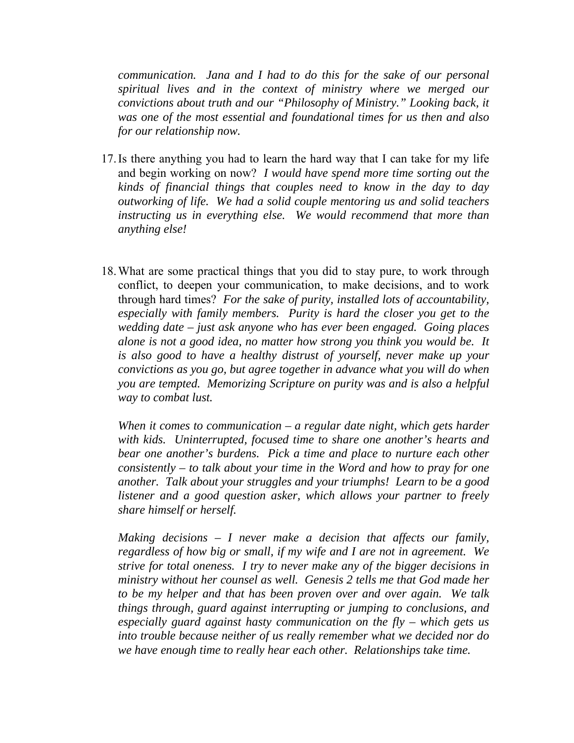*communication. Jana and I had to do this for the sake of our personal spiritual lives and in the context of ministry where we merged our convictions about truth and our "Philosophy of Ministry." Looking back, it was one of the most essential and foundational times for us then and also for our relationship now.*

- 17.Is there anything you had to learn the hard way that I can take for my life and begin working on now? *I would have spend more time sorting out the kinds of financial things that couples need to know in the day to day outworking of life. We had a solid couple mentoring us and solid teachers instructing us in everything else. We would recommend that more than anything else!*
- 18.What are some practical things that you did to stay pure, to work through conflict, to deepen your communication, to make decisions, and to work through hard times? *For the sake of purity, installed lots of accountability, especially with family members. Purity is hard the closer you get to the wedding date – just ask anyone who has ever been engaged. Going places alone is not a good idea, no matter how strong you think you would be. It is also good to have a healthy distrust of yourself, never make up your convictions as you go, but agree together in advance what you will do when you are tempted. Memorizing Scripture on purity was and is also a helpful way to combat lust.*

*When it comes to communication – a regular date night, which gets harder with kids. Uninterrupted, focused time to share one another's hearts and bear one another's burdens. Pick a time and place to nurture each other consistently – to talk about your time in the Word and how to pray for one another. Talk about your struggles and your triumphs! Learn to be a good listener and a good question asker, which allows your partner to freely share himself or herself.* 

*Making decisions – I never make a decision that affects our family, regardless of how big or small, if my wife and I are not in agreement. We strive for total oneness. I try to never make any of the bigger decisions in ministry without her counsel as well. Genesis 2 tells me that God made her to be my helper and that has been proven over and over again. We talk things through, guard against interrupting or jumping to conclusions, and especially guard against hasty communication on the fly – which gets us into trouble because neither of us really remember what we decided nor do we have enough time to really hear each other. Relationships take time.*